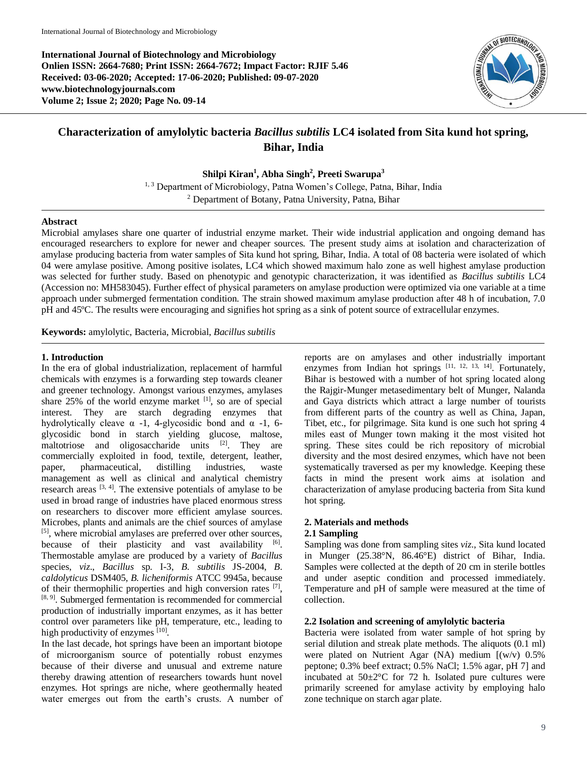**International Journal of Biotechnology and Microbiology Onlien ISSN: 2664-7680; Print ISSN: 2664-7672; Impact Factor: RJIF 5.46 Received: 03-06-2020; Accepted: 17-06-2020; Published: 09-07-2020 www.biotechnologyjournals.com Volume 2; Issue 2; 2020; Page No. 09-14**



# **Characterization of amylolytic bacteria** *Bacillus subtilis* **LC4 isolated from Sita kund hot spring, Bihar, India**

**Shilpi Kiran<sup>1</sup> , Abha Singh<sup>2</sup> , Preeti Swarupa<sup>3</sup>**

<sup>1, 3</sup> Department of Microbiology, Patna Women's College, Patna, Bihar, India <sup>2</sup> Department of Botany, Patna University, Patna, Bihar

## **Abstract**

Microbial amylases share one quarter of industrial enzyme market. Their wide industrial application and ongoing demand has encouraged researchers to explore for newer and cheaper sources. The present study aims at isolation and characterization of amylase producing bacteria from water samples of Sita kund hot spring, Bihar, India. A total of 08 bacteria were isolated of which 04 were amylase positive. Among positive isolates, LC4 which showed maximum halo zone as well highest amylase production was selected for further study. Based on phenotypic and genotypic characterization, it was identified as *Bacillus subtilis* LC4 (Accession no: MH583045). Further effect of physical parameters on amylase production were optimized via one variable at a time approach under submerged fermentation condition. The strain showed maximum amylase production after 48 h of incubation, 7.0 pH and 45ºC. The results were encouraging and signifies hot spring as a sink of potent source of extracellular enzymes.

**Keywords:** amylolytic, Bacteria, Microbial, *Bacillus subtilis*

#### **1. Introduction**

In the era of global industrialization, replacement of harmful chemicals with enzymes is a forwarding step towards cleaner and greener technology. Amongst various enzymes, amylases share 25% of the world enzyme market [1], so are of special interest. They are starch degrading enzymes that hydrolytically cleave  $\alpha$  -1, 4-glycosidic bond and  $\alpha$  -1, 6glycosidic bond in starch yielding glucose, maltose, maltotriose and oligosaccharide units [2]. They are commercially exploited in food, textile, detergent, leather, paper, pharmaceutical, distilling industries, waste management as well as clinical and analytical chemistry research areas  $[3, 4]$ . The extensive potentials of amylase to be used in broad range of industries have placed enormous stress on researchers to discover more efficient amylase sources. Microbes, plants and animals are the chief sources of amylase [5], where microbial amylases are preferred over other sources, because of their plasticity and vast availability [6]. Thermostable amylase are produced by a variety of *Bacillus* species, *viz*., *Bacillus* sp. I-3, *B. subtilis* JS-2004, *B*. *caldolyticus* DSM405, *B. licheniformis* ATCC 9945a, because of their thermophilic properties and high conversion rates  $[7]$ , [8, 9]. Submerged fermentation is recommended for commercial production of industrially important enzymes, as it has better control over parameters like pH, temperature, etc., leading to high productivity of enzymes [10].

In the last decade, hot springs have been an important biotope of microorganism source of potentially robust enzymes because of their diverse and unusual and extreme nature thereby drawing attention of researchers towards hunt novel enzymes. Hot springs are niche, where geothermally heated water emerges out from the earth's crusts. A number of

reports are on amylases and other industrially important enzymes from Indian hot springs [11, 12, 13, 14]. Fortunately, Bihar is bestowed with a number of hot spring located along the Rajgir-Munger metasedimentary belt of Munger, Nalanda and Gaya districts which attract a large number of tourists from different parts of the country as well as China, Japan, Tibet, etc., for pilgrimage. Sita kund is one such hot spring 4 miles east of Munger town making it the most visited hot spring. These sites could be rich repository of microbial diversity and the most desired enzymes, which have not been systematically traversed as per my knowledge. Keeping these facts in mind the present work aims at isolation and characterization of amylase producing bacteria from Sita kund hot spring.

# **2. Materials and methods**

#### **2.1 Sampling**

Sampling was done from sampling sites *viz*., Sita kund located in Munger (25.38°N, 86.46°E) district of Bihar, India. Samples were collected at the depth of 20 cm in sterile bottles and under aseptic condition and processed immediately. Temperature and pH of sample were measured at the time of collection.

#### **2.2 Isolation and screening of amylolytic bacteria**

Bacteria were isolated from water sample of hot spring by serial dilution and streak plate methods. The aliquots (0.1 ml) were plated on Nutrient Agar (NA) medium [(w/v) 0.5% peptone; 0.3% beef extract; 0.5% NaCl; 1.5% agar, pH 7] and incubated at  $50 \pm 2^{\circ}$ C for 72 h. Isolated pure cultures were primarily screened for amylase activity by employing halo zone technique on starch agar plate.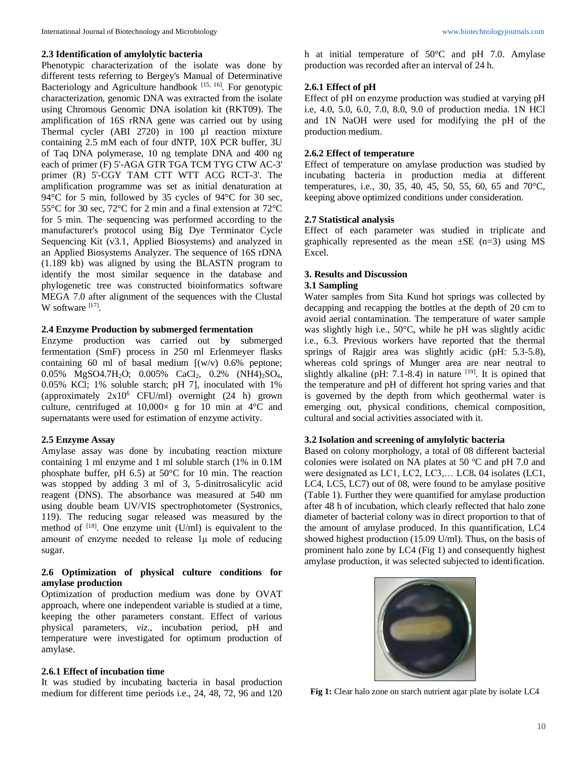# **2.3 Identification of amylolytic bacteria**

Phenotypic characterization of the isolate was done by different tests referring to Bergey's Manual of Determinative Bacteriology and Agriculture handbook  $[15, 16]$ . For genotypic characterization, genomic DNA was extracted from the isolate using Chromous Genomic DNA isolation kit (RKT09). The amplification of 16S rRNA gene was carried out by using Thermal cycler (ABI 2720) in 100 µl reaction mixture containing 2.5 mM each of four dNTP, 10X PCR buffer, 3U of Taq DNA polymerase, 10 ng template DNA and 400 ng each of primer (F) 5'-AGA GTR TGA TCM TYG CTW AC-3' primer (R) 5'-CGY TAM CTT WTT ACG RCT-3'. The amplification programme was set as initial denaturation at 94°C for 5 min, followed by 35 cycles of 94°C for 30 sec, 55°C for 30 sec, 72°C for 2 min and a final extension at 72°C for 5 min. The sequencing was performed according to the manufacturer's protocol using Big Dye Terminator Cycle Sequencing Kit (v3.1, Applied Biosystems) and analyzed in an Applied Biosystems Analyzer. The sequence of 16S rDNA (1.189 kb) was aligned by using the BLASTN program to identify the most similar sequence in the database and phylogenetic tree was constructed bioinformatics software MEGA 7.0 after alignment of the sequences with the Clustal W software  $^{[17]}$ .

## **2.4 Enzyme Production by submerged fermentation**

Enzyme production was carried out b**y** submerged fermentation (SmF) process in 250 ml Erlenmeyer flasks containing 60 ml of basal medium  $[(w/v) 0.6\%$  peptone; 0.05% MgSO4.7H<sub>2</sub>O; 0.005% CaCl<sub>2</sub>, 0.2% (NH4)<sub>2</sub>SO<sub>4</sub>, 0.05% KCl; 1% soluble starch; pH 7], inoculated with 1% (approximately  $2x10^6$  CFU/ml) overnight (24 h) grown culture, centrifuged at  $10,000 \times g$  for 10 min at 4°C and supernatants were used for estimation of enzyme activity.

# **2.5 Enzyme Assay**

Amylase assay was done by incubating reaction mixture containing 1 ml enzyme and 1 ml soluble starch (1% in 0.1M phosphate buffer, pH 6.5) at 50°C for 10 min. The reaction was stopped by adding 3 ml of 3, 5-dinitrosalicylic acid reagent (DNS). The absorbance was measured at 540 nm using double beam UV/VIS spectrophotometer (Systronics, 119). The reducing sugar released was measured by the method of  $[18]$ . One enzyme unit (U/ml) is equivalent to the amount of enzyme needed to release 1μ mole of reducing sugar.

## **2.6 Optimization of physical culture conditions for amylase production**

Optimization of production medium was done by OVAT approach, where one independent variable is studied at a time, keeping the other parameters constant. Effect of various physical parameters, *viz*., incubation period, pH and temperature were investigated for optimum production of amylase.

# **2.6.1 Effect of incubation time**

It was studied by incubating bacteria in basal production medium for different time periods i.e., 24, 48, 72, 96 and 120

h at initial temperature of 50°C and pH 7.0. Amylase production was recorded after an interval of 24 h.

# **2.6.1 Effect of pH**

Effect of pH on enzyme production was studied at varying pH i.e, 4.0, 5.0, 6.0, 7.0, 8.0, 9.0 of production media. 1N HCl and 1N NaOH were used for modifying the pH of the production medium.

## **2.6.2 Effect of temperature**

Effect of temperature on amylase production was studied by incubating bacteria in production media at different temperatures, i.e., 30, 35, 40, 45, 50, 55, 60, 65 and 70°C, keeping above optimized conditions under consideration.

## **2.7 Statistical analysis**

Effect of each parameter was studied in triplicate and graphically represented as the mean  $\pm$ SE (n=3) using MS Excel.

# **3. Results and Discussion**

# **3.1 Sampling**

Water samples from Sita Kund hot springs was collected by decapping and recapping the bottles at the depth of 20 cm to avoid aerial contamination. The temperature of water sample was slightly high i.e., 50°C, while he pH was slightly acidic i.e., 6.3. Previous workers have reported that the thermal springs of Rajgir area was slightly acidic (pH: 5.3-5.8), whereas cold springs of Munger area are near neutral to slightly alkaline (pH: 7.1-8.4) in nature  $[19]$ . It is opined that the temperature and pH of different hot spring varies and that is governed by the depth from which geothermal water is emerging out, physical conditions, chemical composition, cultural and social activities associated with it.

#### **3.2 Isolation and screening of amylolytic bacteria**

Based on colony morphology, a total of 08 different bacterial colonies were isolated on NA plates at 50 ºC and pH 7.0 and were designated as LC1, LC2, LC3,… LC8**.** 04 isolates (LC1, LC4, LC5, LC7) out of 08, were found to be amylase positive (Table 1). Further they were quantified for amylase production after 48 h of incubation, which clearly reflected that halo zone diameter of bacterial colony was in direct proportion to that of the amount of amylase produced. In this quantification, LC4 showed highest production (15.09 U/ml). Thus, on the basis of prominent halo zone by LC4 (Fig 1) and consequently highest amylase production, it was selected subjected to identification.



Fig 1: Clear halo zone on starch nutrient agar plate by isolate LC4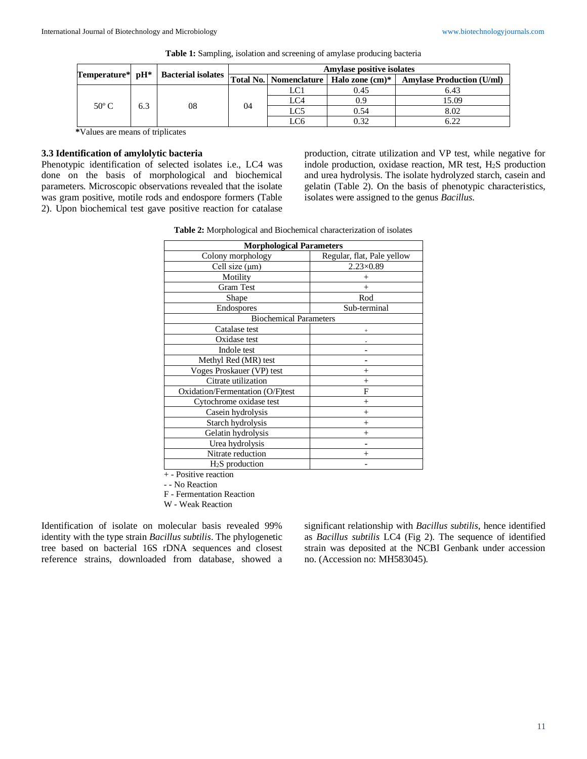|                |     |    | <b>Amylase positive isolates</b><br>Temperature* pH*   Bacterial isolates Total No.   Nomenclature   Halo zone (cm)*   Amylase Production (U/ml) |                 |      |       |
|----------------|-----|----|--------------------------------------------------------------------------------------------------------------------------------------------------|-----------------|------|-------|
|                |     |    |                                                                                                                                                  |                 |      |       |
| $50^{\circ}$ C | 6.3 | 08 | 04                                                                                                                                               | LC1             | 0.45 | 6.43  |
|                |     |    |                                                                                                                                                  | LC4             | 0.9  | 15.09 |
|                |     |    |                                                                                                                                                  | LC <sub>5</sub> | 0.54 | 8.02  |
|                |     |    |                                                                                                                                                  | LC6             | 0.32 | 6.22  |

| Table 1: Sampling, isolation and screening of amylase producing bacteria |  |  |  |
|--------------------------------------------------------------------------|--|--|--|
|                                                                          |  |  |  |

**\***Values are means of triplicates

# **3.3 Identification of amylolytic bacteria**

Phenotypic identification of selected isolates i.e., LC4 was done on the basis of morphological and biochemical parameters. Microscopic observations revealed that the isolate was gram positive, motile rods and endospore formers (Table 2). Upon biochemical test gave positive reaction for catalase production, citrate utilization and VP test, while negative for indole production, oxidase reaction, MR test, H2S production and urea hydrolysis. The isolate hydrolyzed starch, casein and gelatin (Table 2). On the basis of phenotypic characteristics, isolates were assigned to the genus *Bacillus*.

| Table 2: Morphological and Biochemical characterization of isolates |  |  |  |
|---------------------------------------------------------------------|--|--|--|
|---------------------------------------------------------------------|--|--|--|

| <b>Morphological Parameters</b>  |                            |  |  |  |  |
|----------------------------------|----------------------------|--|--|--|--|
| Colony morphology                | Regular, flat, Pale yellow |  |  |  |  |
| Cell size $(\mu m)$              | $2.23 \times 0.89$         |  |  |  |  |
| Motility                         | $^{+}$                     |  |  |  |  |
| <b>Gram Test</b>                 | $^{+}$                     |  |  |  |  |
| Shape                            | Rod                        |  |  |  |  |
| Endospores                       | Sub-terminal               |  |  |  |  |
| <b>Biochemical Parameters</b>    |                            |  |  |  |  |
| Catalase test                    | $\ddot{}$                  |  |  |  |  |
| Oxidase test                     |                            |  |  |  |  |
| Indole test                      |                            |  |  |  |  |
| Methyl Red (MR) test             |                            |  |  |  |  |
| Voges Proskauer (VP) test        | $^{+}$                     |  |  |  |  |
| Citrate utilization              | $^{+}$                     |  |  |  |  |
| Oxidation/Fermentation (O/F)test | F                          |  |  |  |  |
| Cytochrome oxidase test          | $^{+}$                     |  |  |  |  |
| Casein hydrolysis                | $^{+}$                     |  |  |  |  |
| Starch hydrolysis                | $^{+}$                     |  |  |  |  |
| Gelatin hydrolysis               | $^{+}$                     |  |  |  |  |
| Urea hydrolysis                  |                            |  |  |  |  |
| Nitrate reduction                | $^{+}$                     |  |  |  |  |
| $H2S$ production                 |                            |  |  |  |  |

+ - Positive reaction

- - No Reaction

F - Fermentation Reaction

W - Weak Reaction

Identification of isolate on molecular basis revealed 99% identity with the type strain *Bacillus subtilis*. The phylogenetic tree based on bacterial 16S rDNA sequences and closest reference strains, downloaded from database, showed a significant relationship with *Bacillus subtilis*, hence identified as *Bacillus subtilis* LC4 (Fig 2)*.* The sequence of identified strain was deposited at the NCBI Genbank under accession no. (Accession no: MH583045).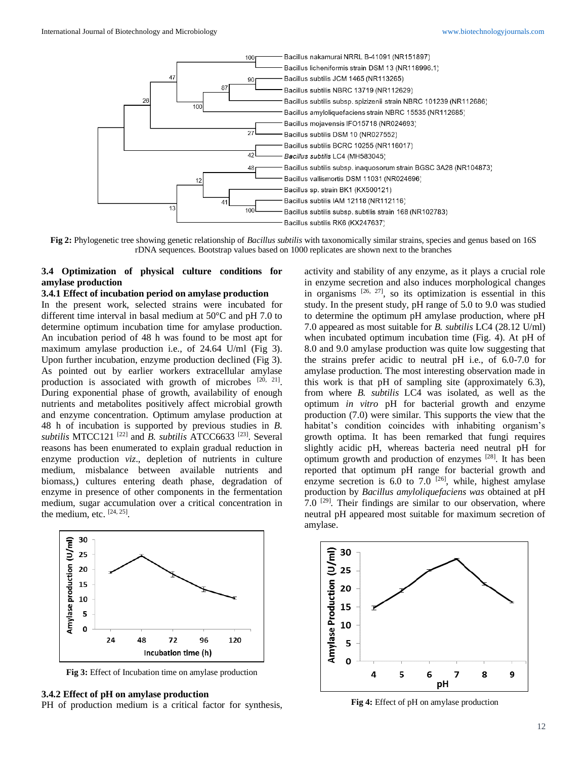

**Fig 2:** Phylogenetic tree showing genetic relationship of *Bacillus subtilis* with taxonomically similar strains, species and genus based on 16S rDNA sequences. Bootstrap values based on 1000 replicates are shown next to the branches

# **3.4 Optimization of physical culture conditions for amylase production**

#### **3.4.1 Effect of incubation period on amylase production**

In the present work, selected strains were incubated for different time interval in basal medium at 50°C and pH 7.0 to determine optimum incubation time for amylase production. An incubation period of 48 h was found to be most apt for maximum amylase production i.e., of 24.64 U/ml (Fig 3). Upon further incubation, enzyme production declined (Fig 3). As pointed out by earlier workers extracellular amylase production is associated with growth of microbes  $[20, 21]$ . During exponential phase of growth, availability of enough nutrients and metabolites positively affect microbial growth and enzyme concentration. Optimum amylase production at 48 h of incubation is supported by previous studies in *B. subtilis* MTCC121 [22] and *B. subtilis* ATCC6633 [23]. Several reasons has been enumerated to explain gradual reduction in enzyme production *viz*., depletion of nutrients in culture medium, misbalance between available nutrients and biomass,) cultures entering death phase, degradation of enzyme in presence of other components in the fermentation medium, sugar accumulation over a critical concentration in the medium, etc.  $[24, 25]$ .



**Fig 3:** Effect of Incubation time on amylase production

# **3.4.2 Effect of pH on amylase production**

PH of production medium is a critical factor for synthesis,

activity and stability of any enzyme, as it plays a crucial role in enzyme secretion and also induces morphological changes in organisms  $[26, 27]$ , so its optimization is essential in this study. In the present study, pH range of 5.0 to 9.0 was studied to determine the optimum pH amylase production, where pH 7.0 appeared as most suitable for *B. subtilis* LC4 (28.12 U/ml) when incubated optimum incubation time (Fig. 4). At pH of 8.0 and 9.0 amylase production was quite low suggesting that the strains prefer acidic to neutral pH i.e., of 6.0-7.0 for amylase production. The most interesting observation made in this work is that pH of sampling site (approximately 6.3), from where *B. subtilis* LC4 was isolated, as well as the optimum *in vitro* pH for bacterial growth and enzyme production (7.0) were similar. This supports the view that the habitat's condition coincides with inhabiting organism's growth optima. It has been remarked that fungi requires slightly acidic pH, whereas bacteria need neutral pH for optimum growth and production of enzymes [28]. It has been reported that optimum pH range for bacterial growth and enzyme secretion is  $6.0$  to  $7.0$  <sup>[26]</sup>, while, highest amylase production by *Bacillus amyloliquefaciens was* obtained at pH 7.0  $^{[29]}$ . Their findings are similar to our observation, where neutral pH appeared most suitable for maximum secretion of amylase.



**Fig 4:** Effect of pH on amylase production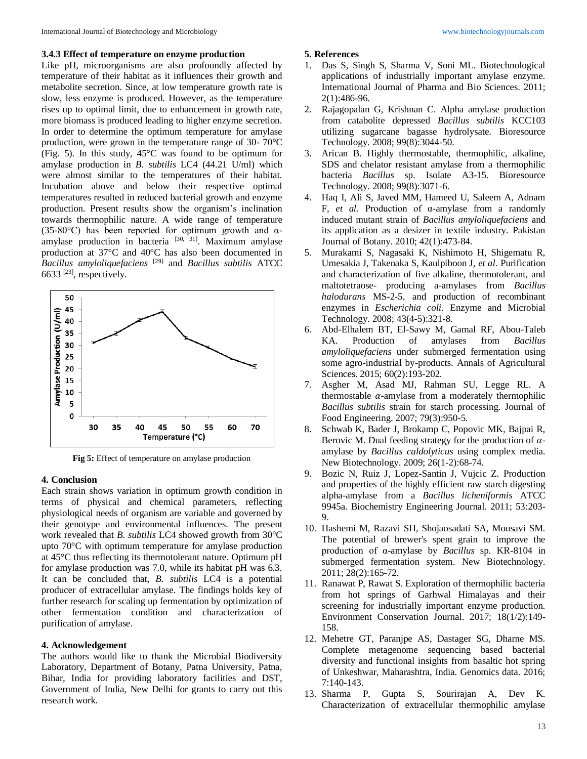#### **3.4.3 Effect of temperature on enzyme production**

Like pH, microorganisms are also profoundly affected by temperature of their habitat as it influences their growth and metabolite secretion. Since, at low temperature growth rate is slow, less enzyme is produced. However, as the temperature rises up to optimal limit, due to enhancement in growth rate, more biomass is produced leading to higher enzyme secretion. In order to determine the optimum temperature for amylase production, were grown in the temperature range of 30- 70°C (Fig. 5). In this study, 45°C was found to be optimum for amylase production in *B. subtilis* LC4 (44.21 U/ml) which were almost similar to the temperatures of their habitat. Incubation above and below their respective optimal temperatures resulted in reduced bacterial growth and enzyme production. Present results show the organism's inclination towards thermophilic nature. A wide range of temperature (35-80°C) has been reported for optimum growth and  $\alpha$ amylase production in bacteria [30, 31]. Maximum amylase production at 37°C and 40°C has also been documented in *Bacillus amyloliquefaciens* [29] and *Bacillus subtilis* ATCC 6633 $^{[23]}$ , respectively.



**Fig 5:** Effect of temperature on amylase production

#### **4. Conclusion**

Each strain shows variation in optimum growth condition in terms of physical and chemical parameters, reflecting physiological needs of organism are variable and governed by their genotype and environmental influences. The present work revealed that *B. subtilis* LC4 showed growth from 30°C upto 70°C with optimum temperature for amylase production at 45°C thus reflecting its thermotolerant nature. Optimum pH for amylase production was 7.0, while its habitat pH was 6.3. It can be concluded that, *B. subtilis* LC4 is a potential producer of extracellular amylase. The findings holds key of further research for scaling up fermentation by optimization of other fermentation condition and characterization of purification of amylase.

#### **4. Acknowledgement**

The authors would like to thank the Microbial Biodiversity Laboratory, Department of Botany, Patna University, Patna, Bihar, India for providing laboratory facilities and DST, Government of India, New Delhi for grants to carry out this research work.

#### **5. References**

- 1. Das S, Singh S, Sharma V, Soni ML. Biotechnological applications of industrially important amylase enzyme. International Journal of Pharma and Bio Sciences. 2011; 2(1):486-96.
- 2. Rajagopalan G, Krishnan C. Alpha amylase production from catabolite depressed *Bacillus subtilis* KCC103 utilizing sugarcane bagasse hydrolysate. Bioresource Technology. 2008; 99(8):3044-50.
- 3. Arican B. Highly thermostable, thermophilic, alkaline, SDS and chelator resistant amylase from a thermophilic bacteria *Bacillus* sp. Isolate A3-15. Bioresource Technology. 2008; 99(8):3071-6.
- 4. Haq I, Ali S, Javed MM, Hameed U, Saleem A, Adnam F, *et al*. Production of α-amylase from a randomly induced mutant strain of *Bacillus amyloliquefaciens* and its application as a desizer in textile industry. Pakistan Journal of Botany. 2010; 42(1):473-84.
- 5. Murakami S, Nagasaki K, Nishimoto H, Shigematu R, Umesakia J, Takenaka S, Kaulpiboon J, *et al*. Purification and characterization of five alkaline, thermotolerant, and maltotetraose- producing a-amylases from *Bacillus halodurans* MS-2-5, and production of recombinant enzymes in *Escherichia coli.* Enzyme and Microbial Technology. 2008; 43(4-5):321-8.
- 6. Abd-Elhalem BT, El-Sawy M, Gamal RF, Abou-Taleb KA. Production of amylases from *Bacillus amyloliquefaciens* under submerged fermentation using some agro-industrial by-products. Annals of Agricultural Sciences. 2015; 60(2):193-202.
- 7. Asgher M, Asad MJ, Rahman SU, Legge RL. A thermostable  $\alpha$ -amylase from a moderately thermophilic *Bacillus subtilis* strain for starch processing. Journal of Food Engineering. 2007; 79(3):950-5.
- 8. Schwab K, Bader J, Brokamp C, Popovic MK, Bajpai R, Berovic M. Dual feeding strategy for the production of  $\alpha$ amylase by *Bacillus caldolyticus* using complex media. New Biotechnology. 2009; 26(1-2):68-74.
- 9. Bozic N, Ruiz J, Lopez-Santin J, Vujcic Z. Production and properties of the highly efficient raw starch digesting alpha-amylase from a *Bacillus licheniformis* ATCC 9945a. Biochemistry Engineering Journal. 2011; 53:203- 9.
- 10. Hashemi M, Razavi SH, Shojaosadati SA, Mousavi SM. The potential of brewer's spent grain to improve the production of α-amylase by *Bacillus* sp. KR-8104 in submerged fermentation system. New Biotechnology. 2011; 28(2):165-72.
- 11. Ranawat P, Rawat S. Exploration of thermophilic bacteria from hot springs of Garhwal Himalayas and their screening for industrially important enzyme production. Environment Conservation Journal. 2017; 18(1/2):149- 158.
- 12. Mehetre GT, Paranjpe AS, Dastager SG, Dharne MS. Complete metagenome sequencing based bacterial diversity and functional insights from basaltic hot spring of Unkeshwar, Maharashtra, India. Genomics data. 2016; 7:140-143.
- 13. Sharma P, Gupta S, Sourirajan A, Dev K. Characterization of extracellular thermophilic amylase